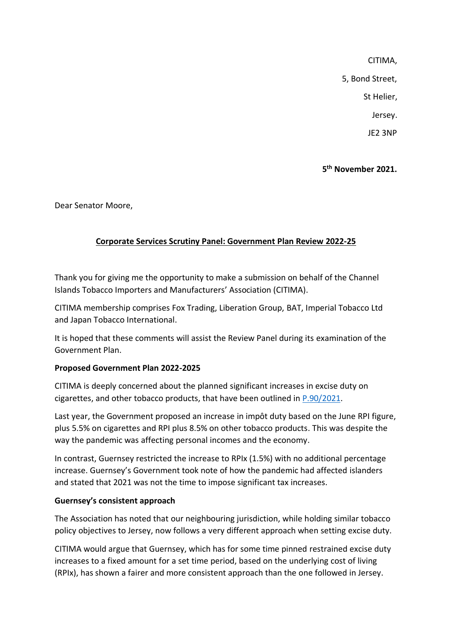CITIMA, 5, Bond Street, St Helier, Jersey.

JE2 3NP

# **5 th November 2021.**

Dear Senator Moore,

## **Corporate Services Scrutiny Panel: Government Plan Review 2022-25**

Thank you for giving me the opportunity to make a submission on behalf of the Channel Islands Tobacco Importers and Manufacturers' Association (CITIMA).

CITIMA membership comprises Fox Trading, Liberation Group, BAT, Imperial Tobacco Ltd and Japan Tobacco International.

It is hoped that these comments will assist the Review Panel during its examination of the Government Plan.

#### **Proposed Government Plan 2022-2025**

CITIMA is deeply concerned about the planned significant increases in excise duty on cigarettes, and other tobacco products, that have been outlined in [P.90/2021.](https://statesassembly.gov.je/assemblypropositions/2021/p.90-2021.pdf)

Last year, the Government proposed an increase in impôt duty based on the June RPI figure, plus 5.5% on cigarettes and RPI plus 8.5% on other tobacco products. This was despite the way the pandemic was affecting personal incomes and the economy.

In contrast, Guernsey restricted the increase to RPIx (1.5%) with no additional percentage increase. Guernsey's Government took note of how the pandemic had affected islanders and stated that 2021 was not the time to impose significant tax increases.

## **Guernsey's consistent approach**

The Association has noted that our neighbouring jurisdiction, while holding similar tobacco policy objectives to Jersey, now follows a very different approach when setting excise duty.

CITIMA would argue that Guernsey, which has for some time pinned restrained excise duty increases to a fixed amount for a set time period, based on the underlying cost of living (RPIx), has shown a fairer and more consistent approach than the one followed in Jersey.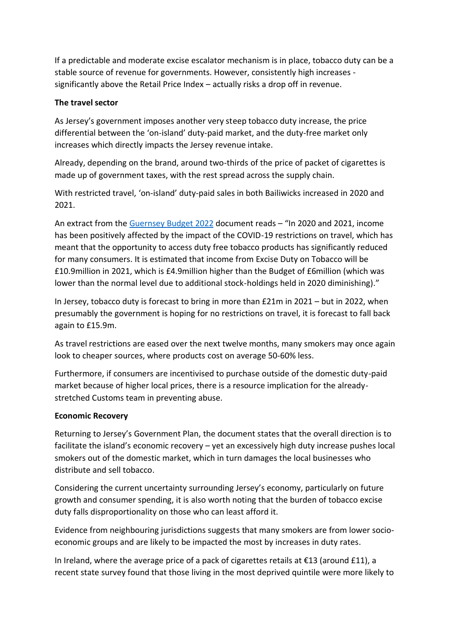If a predictable and moderate excise escalator mechanism is in place, tobacco duty can be a stable source of revenue for governments. However, consistently high increases significantly above the Retail Price Index – actually risks a drop off in revenue.

### **The travel sector**

As Jersey's government imposes another very steep tobacco duty increase, the price differential between the 'on-island' duty-paid market, and the duty-free market only increases which directly impacts the Jersey revenue intake.

Already, depending on the brand, around two-thirds of the price of packet of cigarettes is made up of government taxes, with the rest spread across the supply chain.

With restricted travel, 'on-island' duty-paid sales in both Bailiwicks increased in 2020 and 2021.

An extract from the [Guernsey Budget 2022](https://gov.gg/CHttpHandler.ashx?id=145085&p=0) document reads – "In 2020 and 2021, income has been positively affected by the impact of the COVID-19 restrictions on travel, which has meant that the opportunity to access duty free tobacco products has significantly reduced for many consumers. It is estimated that income from Excise Duty on Tobacco will be £10.9million in 2021, which is £4.9million higher than the Budget of £6million (which was lower than the normal level due to additional stock-holdings held in 2020 diminishing)."

In Jersey, tobacco duty is forecast to bring in more than £21m in 2021 – but in 2022, when presumably the government is hoping for no restrictions on travel, it is forecast to fall back again to £15.9m.

As travel restrictions are eased over the next twelve months, many smokers may once again look to cheaper sources, where products cost on average 50-60% less.

Furthermore, if consumers are incentivised to purchase outside of the domestic duty-paid market because of higher local prices, there is a resource implication for the alreadystretched Customs team in preventing abuse.

#### **Economic Recovery**

Returning to Jersey's Government Plan, the document states that the overall direction is to facilitate the island's economic recovery – yet an excessively high duty increase pushes local smokers out of the domestic market, which in turn damages the local businesses who distribute and sell tobacco.

Considering the current uncertainty surrounding Jersey's economy, particularly on future growth and consumer spending, it is also worth noting that the burden of tobacco excise duty falls disproportionality on those who can least afford it.

Evidence from neighbouring jurisdictions suggests that many smokers are from lower socioeconomic groups and are likely to be impacted the most by increases in duty rates.

In Ireland, where the average price of a pack of cigarettes retails at  $\epsilon$ 13 (around £11), a recent state survey found that those living in the most deprived quintile were more likely to